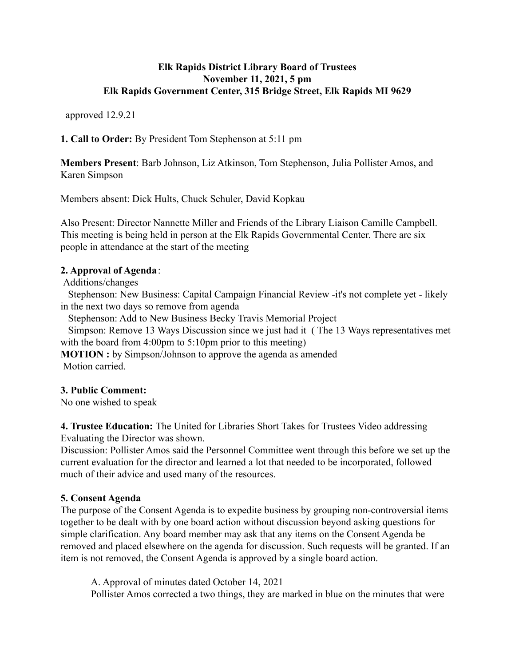### **Elk Rapids District Library Board of Trustees November 11, 2021, 5 pm Elk Rapids Government Center, 315 Bridge Street, Elk Rapids MI 9629**

approved 12.9.21

**1. Call to Order:** By President Tom Stephenson at 5:11 pm

**Members Present**: Barb Johnson, Liz Atkinson, Tom Stephenson, Julia Pollister Amos, and Karen Simpson

Members absent: Dick Hults, Chuck Schuler, David Kopkau

Also Present: Director Nannette Miller and Friends of the Library Liaison Camille Campbell. This meeting is being held in person at the Elk Rapids Governmental Center. There are six people in attendance at the start of the meeting

## **2. Approval of Agenda**:

Additions/changes

Stephenson: New Business: Capital Campaign Financial Review -it's not complete yet - likely in the next two days so remove from agenda

Stephenson: Add to New Business Becky Travis Memorial Project

Simpson: Remove 13 Ways Discussion since we just had it ( The 13 Ways representatives met with the board from 4:00pm to 5:10pm prior to this meeting)

**MOTION**: by Simpson/Johnson to approve the agenda as amended Motion carried.

## **3. Public Comment:**

No one wished to speak

**4. Trustee Education:** The United for Libraries Short Takes for Trustees Video addressing Evaluating the Director was shown.

Discussion: Pollister Amos said the Personnel Committee went through this before we set up the current evaluation for the director and learned a lot that needed to be incorporated, followed much of their advice and used many of the resources.

## **5. Consent Agenda**

The purpose of the Consent Agenda is to expedite business by grouping non-controversial items together to be dealt with by one board action without discussion beyond asking questions for simple clarification. Any board member may ask that any items on the Consent Agenda be removed and placed elsewhere on the agenda for discussion. Such requests will be granted. If an item is not removed, the Consent Agenda is approved by a single board action.

A. Approval of minutes dated October 14, 2021 Pollister Amos corrected a two things, they are marked in blue on the minutes that were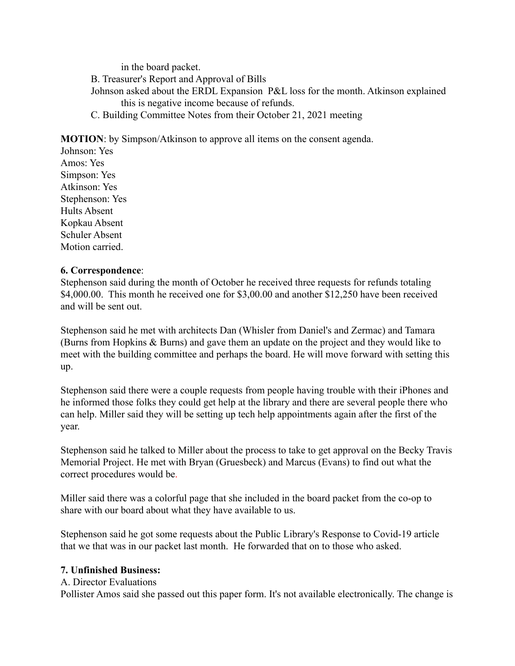in the board packet. B. Treasurer's Report and Approval of Bills Johnson asked about the ERDL Expansion P&L loss for the month. Atkinson explained this is negative income because of refunds. C. Building Committee Notes from their October 21, 2021 meeting

**MOTION**: by Simpson/Atkinson to approve all items on the consent agenda.

Johnson: Yes Amos: Yes Simpson: Yes Atkinson: Yes Stephenson: Yes Hults Absent Kopkau Absent Schuler Absent Motion carried.

#### **6. Correspondence**:

Stephenson said during the month of October he received three requests for refunds totaling \$4,000.00. This month he received one for \$3,00.00 and another \$12,250 have been received and will be sent out.

Stephenson said he met with architects Dan (Whisler from Daniel's and Zermac) and Tamara (Burns from Hopkins & Burns) and gave them an update on the project and they would like to meet with the building committee and perhaps the board. He will move forward with setting this up.

Stephenson said there were a couple requests from people having trouble with their iPhones and he informed those folks they could get help at the library and there are several people there who can help. Miller said they will be setting up tech help appointments again after the first of the year.

Stephenson said he talked to Miller about the process to take to get approval on the Becky Travis Memorial Project. He met with Bryan (Gruesbeck) and Marcus (Evans) to find out what the correct procedures would be.

Miller said there was a colorful page that she included in the board packet from the co-op to share with our board about what they have available to us.

Stephenson said he got some requests about the Public Library's Response to Covid-19 article that we that was in our packet last month. He forwarded that on to those who asked.

#### **7. Unfinished Business:**

#### A. Director Evaluations

Pollister Amos said she passed out this paper form. It's not available electronically. The change is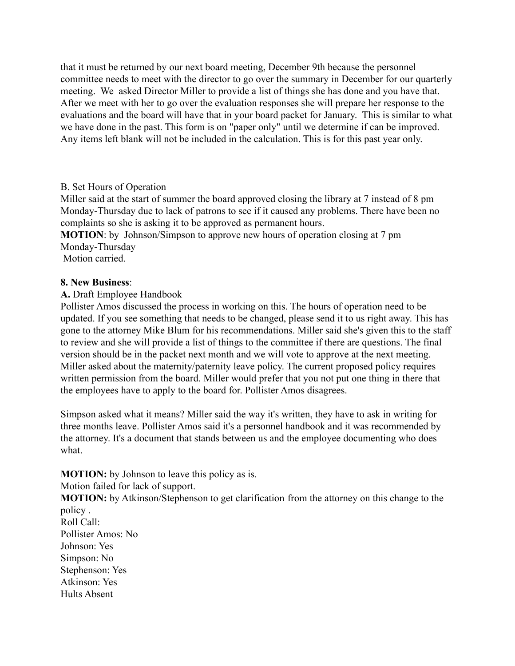that it must be returned by our next board meeting, December 9th because the personnel committee needs to meet with the director to go over the summary in December for our quarterly meeting. We asked Director Miller to provide a list of things she has done and you have that. After we meet with her to go over the evaluation responses she will prepare her response to the evaluations and the board will have that in your board packet for January. This is similar to what we have done in the past. This form is on "paper only" until we determine if can be improved. Any items left blank will not be included in the calculation. This is for this past year only.

## B. Set Hours of Operation

Miller said at the start of summer the board approved closing the library at 7 instead of 8 pm Monday-Thursday due to lack of patrons to see if it caused any problems. There have been no complaints so she is asking it to be approved as permanent hours.

**MOTION**: by Johnson/Simpson to approve new hours of operation closing at 7 pm Monday-Thursday

Motion carried.

### **8. New Business**:

### **A.** Draft Employee Handbook

Pollister Amos discussed the process in working on this. The hours of operation need to be updated. If you see something that needs to be changed, please send it to us right away. This has gone to the attorney Mike Blum for his recommendations. Miller said she's given this to the staff to review and she will provide a list of things to the committee if there are questions. The final version should be in the packet next month and we will vote to approve at the next meeting. Miller asked about the maternity/paternity leave policy. The current proposed policy requires written permission from the board. Miller would prefer that you not put one thing in there that the employees have to apply to the board for. Pollister Amos disagrees.

Simpson asked what it means? Miller said the way it's written, they have to ask in writing for three months leave. Pollister Amos said it's a personnel handbook and it was recommended by the attorney. It's a document that stands between us and the employee documenting who does what.

## **MOTION:** by Johnson to leave this policy as is.

Motion failed for lack of support.

**MOTION:** by Atkinson/Stephenson to get clarification from the attorney on this change to the policy .

Roll Call: Pollister Amos: No Johnson: Yes Simpson: No Stephenson: Yes Atkinson: Yes Hults Absent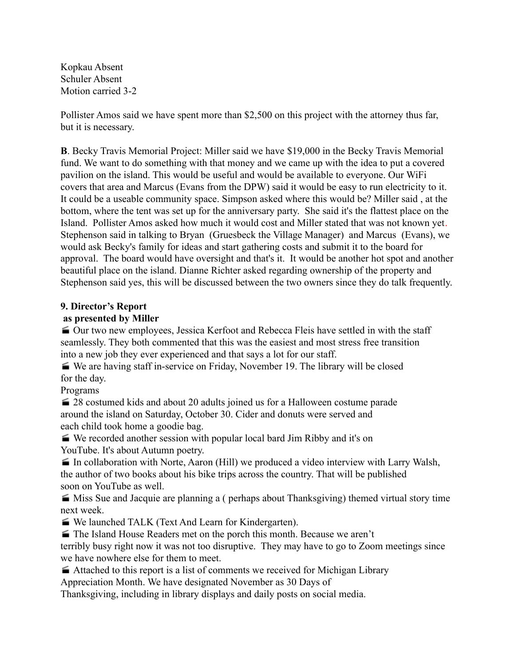Kopkau Absent Schuler Absent Motion carried 3-2

Pollister Amos said we have spent more than \$2,500 on this project with the attorney thus far, but it is necessary.

**B**. Becky Travis Memorial Project: Miller said we have \$19,000 in the Becky Travis Memorial fund. We want to do something with that money and we came up with the idea to put a covered pavilion on the island. This would be useful and would be available to everyone. Our WiFi covers that area and Marcus (Evans from the DPW) said it would be easy to run electricity to it. It could be a useable community space. Simpson asked where this would be? Miller said , at the bottom, where the tent was set up for the anniversary party. She said it's the flattest place on the Island. Pollister Amos asked how much it would cost and Miller stated that was not known yet. Stephenson said in talking to Bryan (Gruesbeck the Village Manager) and Marcus (Evans), we would ask Becky's family for ideas and start gathering costs and submit it to the board for approval. The board would have oversight and that's it. It would be another hot spot and another beautiful place on the island. Dianne Richter asked regarding ownership of the property and Stephenson said yes, this will be discussed between the two owners since they do talk frequently.

## **9. Director's Report**

## **as presented by Miller**

 Our two new employees, Jessica Kerfoot and Rebecca Fleis have settled in with the staff seamlessly. They both commented that this was the easiest and most stress free transition into a new job they ever experienced and that says a lot for our staff.

 We are having staff in-service on Friday, November 19. The library will be closed for the day.

Programs

28 costumed kids and about 20 adults joined us for a Halloween costume parade around the island on Saturday, October 30. Cider and donuts were served and each child took home a goodie bag.

 We recorded another session with popular local bard Jim Ribby and it's on YouTube. It's about Autumn poetry.

 In collaboration with Norte, Aaron (Hill) we produced a video interview with Larry Walsh, the author of two books about his bike trips across the country. That will be published soon on YouTube as well.

 Miss Sue and Jacquie are planning a ( perhaps about Thanksgiving) themed virtual story time next week.

We launched TALK (Text And Learn for Kindergarten).

The Island House Readers met on the porch this month. Because we aren't terribly busy right now it was not too disruptive. They may have to go to Zoom meetings since

we have nowhere else for them to meet.

Attached to this report is a list of comments we received for Michigan Library

Appreciation Month. We have designated November as 30 Days of

Thanksgiving, including in library displays and daily posts on social media.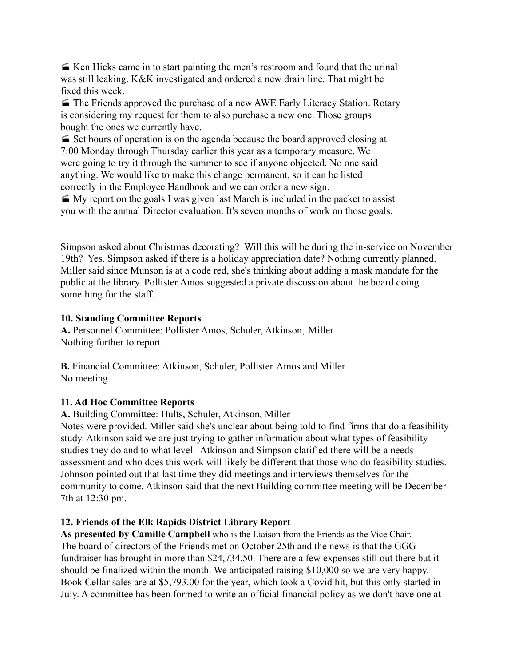Ken Hicks came in to start painting the men's restroom and found that the urinal was still leaking. K&K investigated and ordered a new drain line. That might be fixed this week.

 $\blacktriangleright$  The Friends approved the purchase of a new AWE Early Literacy Station. Rotary is considering my request for them to also purchase a new one. Those groups bought the ones we currently have.

 Set hours of operation is on the agenda because the board approved closing at 7:00 Monday through Thursday earlier this year as a temporary measure. We were going to try it through the summer to see if anyone objected. No one said anything. We would like to make this change permanent, so it can be listed correctly in the Employee Handbook and we can order a new sign.

My report on the goals I was given last March is included in the packet to assist you with the annual Director evaluation. It's seven months of work on those goals.

Simpson asked about Christmas decorating? Will this will be during the in-service on November 19th? Yes. Simpson asked if there is a holiday appreciation date? Nothing currently planned. Miller said since Munson is at a code red, she's thinking about adding a mask mandate for the public at the library. Pollister Amos suggested a private discussion about the board doing something for the staff.

## **10. Standing Committee Reports**

**A.** Personnel Committee: Pollister Amos, Schuler, Atkinson, Miller Nothing further to report.

**B.** Financial Committee: Atkinson, Schuler, Pollister Amos and Miller No meeting

## **11. Ad Hoc Committee Reports**

**A.** Building Committee: Hults, Schuler, Atkinson, Miller

Notes were provided. Miller said she's unclear about being told to find firms that do a feasibility study. Atkinson said we are just trying to gather information about what types of feasibility studies they do and to what level. Atkinson and Simpson clarified there will be a needs assessment and who does this work will likely be different that those who do feasibility studies. Johnson pointed out that last time they did meetings and interviews themselves for the community to come. Atkinson said that the next Building committee meeting will be December 7th at 12:30 pm.

## **12. Friends of the Elk Rapids District Library Report**

**As presented by Camille Campbell** who is the Liaison from the Friends as the Vice Chair. The board of directors of the Friends met on October 25th and the news is that the GGG fundraiser has brought in more than \$24,734.50. There are a few expenses still out there but it should be finalized within the month. We anticipated raising \$10,000 so we are very happy. Book Cellar sales are at \$5,793.00 for the year, which took a Covid hit, but this only started in July. A committee has been formed to write an official financial policy as we don't have one at